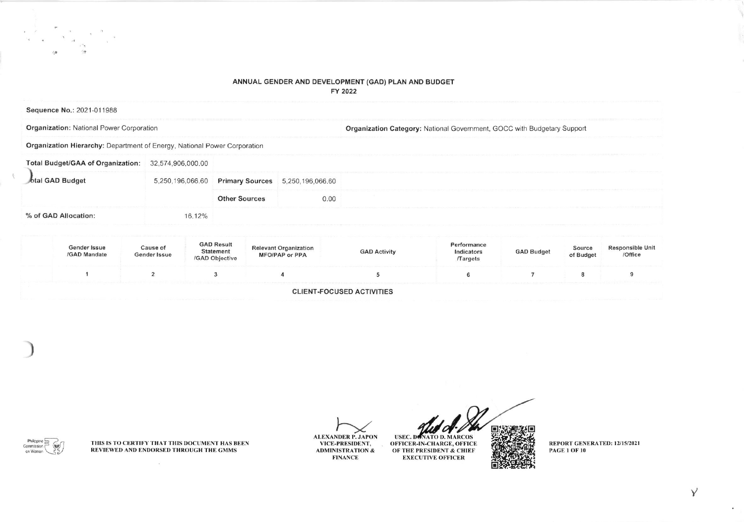## ANNUAL GENDER AND DEVELOPMENT (GAD) PLAN AND BUDGET FY 2022

| Sequence No.: 2021-011988                                                |                   |                        |                  |                                                                         |
|--------------------------------------------------------------------------|-------------------|------------------------|------------------|-------------------------------------------------------------------------|
| <b>Organization: National Power Corporation</b>                          |                   |                        |                  | Organization Category: National Government, GOCC with Budgetary Support |
| Organization Hierarchy: Department of Energy, National Power Corporation |                   |                        |                  |                                                                         |
| <b>Total Budget/GAA of Organization:</b>                                 | 32,574,906,000.00 |                        |                  |                                                                         |
| otal GAD Budget                                                          | 5,250,196,066,60  | <b>Primary Sources</b> | 5,250,196,066,60 |                                                                         |
|                                                                          |                   | <b>Other Sources</b>   | 0.00             |                                                                         |
| % of GAD Allocation:                                                     | 16.12%            |                        |                  |                                                                         |

| Gender Issue<br>/GAD Mandate | Cause of<br>Gender Issue | <b>GAD Result</b><br>Statement<br>/GAD Objective | <b>Relevant Organization</b><br><b>MFO/PAP or PPA</b> | <b>GAD Activity</b>              | Performance<br>Indicators<br><b>Targets</b> | <b>GAD Budget</b> | Source<br>of Budget | <b>Responsible Unit</b><br>/Office |
|------------------------------|--------------------------|--------------------------------------------------|-------------------------------------------------------|----------------------------------|---------------------------------------------|-------------------|---------------------|------------------------------------|
|                              |                          |                                                  |                                                       |                                  |                                             |                   |                     |                                    |
|                              |                          |                                                  |                                                       | <b>CLIENT-FOCUSED ACTIVITIES</b> |                                             |                   |                     |                                    |

THIS IS TO CERTIFY THAT THIS DOCUMENT HAS BEEN REVIEWED AND ENDORSED THROUGH THE GMMS

 $\sim$ 

Philippine  $\equiv$ 

Commission 6

on Women

 $\sum_{n=1}^{n}$ 

**ALEXANDER P. JAPON** VICE-PRESIDENT, **ADMINISTRATION & FINANCE** 

 $\boldsymbol{\mathscr{O}}$ **USEC. DONATO D. MARCOS** OFFICER-IN-CHARGE, OFFICE OF THE PRESIDENT & CHIEF **EXECUTIVE OFFICER** 

REPORT GENERATED: 12/15/2021 **PAGE 1 OF 10**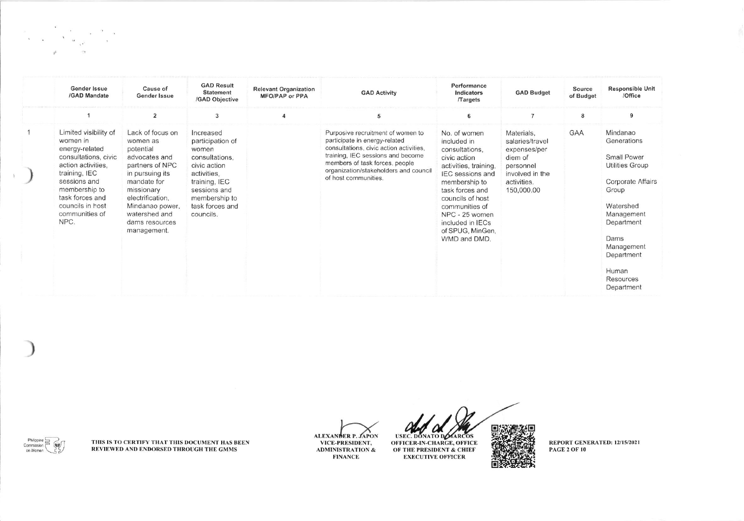| <b>Gender Issue</b><br>/GAD Mandate                                                                                                                                                                                  | Cause of<br>Gender Issue                                                                                                                                                                                               | <b>GAD Result</b><br><b>Statement</b><br>/GAD Objective                                                                                                                   | <b>Relevant Organization</b><br><b>MFO/PAP or PPA</b> | <b>GAD Activity</b>                                                                                                                                                                                                                                   | Performance<br>Indicators<br><b>Targets</b>                                                                                                                                                                                                                           | <b>GAD Budget</b>                                                                                                     | Source<br>of Budget | <b>Responsible Unit</b><br>/Office                                                                                                                                                                                     |
|----------------------------------------------------------------------------------------------------------------------------------------------------------------------------------------------------------------------|------------------------------------------------------------------------------------------------------------------------------------------------------------------------------------------------------------------------|---------------------------------------------------------------------------------------------------------------------------------------------------------------------------|-------------------------------------------------------|-------------------------------------------------------------------------------------------------------------------------------------------------------------------------------------------------------------------------------------------------------|-----------------------------------------------------------------------------------------------------------------------------------------------------------------------------------------------------------------------------------------------------------------------|-----------------------------------------------------------------------------------------------------------------------|---------------------|------------------------------------------------------------------------------------------------------------------------------------------------------------------------------------------------------------------------|
|                                                                                                                                                                                                                      | $\overline{2}$                                                                                                                                                                                                         | 3                                                                                                                                                                         |                                                       | 5                                                                                                                                                                                                                                                     | 6                                                                                                                                                                                                                                                                     | $\overline{7}$                                                                                                        | 8                   | q                                                                                                                                                                                                                      |
| Limited visibility of<br>women in<br>energy-related<br>consultations, civic<br>action activities,<br>training, IEC<br>sessions and<br>membership to<br>task forces and<br>councils in host<br>communities of<br>NPC. | Lack of focus on<br>women as<br>potential<br>advocates and<br>partners of NPC<br>in pursuing its<br>mandate for<br>missionary<br>electrification.<br>Mindanao power,<br>watershed and<br>dams resources<br>management. | Increased<br>participation of<br>women<br>consultations.<br>civic action<br>activities.<br>training, IEC<br>sessions and<br>membership to<br>task forces and<br>councils. |                                                       | Purposive recruitment of women to<br>participate in energy-related<br>consultations, civic action activities,<br>training, IEC sessions and become<br>members of task forces, people<br>organization/stakeholders and council<br>of host communities. | No. of women<br>included in<br>consultations.<br>civic action<br>activities, training.<br><b>IEC</b> sessions and<br>membership to<br>task forces and<br>councils of host<br>communities of<br>NPC - 25 women<br>included in IECs<br>of SPUG, MinGen.<br>WMD and DMD. | Materials,<br>salaries/travel<br>expenses/per<br>diem of<br>personnel<br>involved in the<br>activities.<br>150,000.00 | GAA                 | Mindanao<br>Generations<br>Small Power<br><b>Utilities Group</b><br><b>Corporate Affairs</b><br>Group<br>Watershed<br>Management<br>Department<br>Dams<br>Management<br>Department<br>Human<br>Resources<br>Department |

THIS IS TO CERTIFY THAT THIS DOCUMENT HAS BEEN<br>REVIEWED AND ENDORSED THROUGH THE GMMS

 $\begin{picture}(120,15) \put(0,0){\line(1,0){155}} \put(15,0){\line(1,0){155}} \put(15,0){\line(1,0){155}} \put(15,0){\line(1,0){155}} \put(15,0){\line(1,0){155}} \put(15,0){\line(1,0){155}} \put(15,0){\line(1,0){155}} \put(15,0){\line(1,0){155}} \put(15,0){\line(1,0){155}} \put(15,0){\line(1,0){155}} \put(15,0){\line(1,0){155}}$ 

ALEXANDER P. JAPON VICE-PRESIDENT, ADMINISTRATION &<br>FINANCE

 $\boldsymbol{a}$ USEC. DONATO DOMARCOS OF THE PRESIDENT & CHIEF **EXECUTIVE OFFICER** 

REPORT GENERATED: 12/15/2021 **PAGE 2 OF 10** 

īП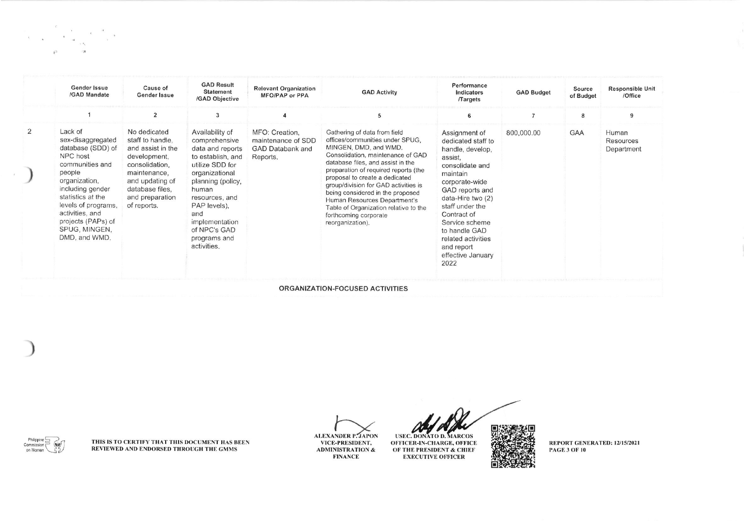|   | <b>Gender Issue</b><br>/GAD Mandate                                                                                                                                                                                                                    | Cause of<br>Gender Issue                                                                                                                                                        | <b>GAD Result</b><br><b>Statement</b><br>/GAD Objective                                                                                                                                                                                                | <b>Relevant Organization</b><br>MFO/PAP or PPA                       | <b>GAD Activity</b>                                                                                                                                                                                                                                                                                                                                                                                                                            | Performance<br>Indicators<br>Targets                                                                                                                                                                                                                                                              | <b>GAD Budget</b> | Source<br>of Budget | <b>Responsible Unit</b><br>/Office      |
|---|--------------------------------------------------------------------------------------------------------------------------------------------------------------------------------------------------------------------------------------------------------|---------------------------------------------------------------------------------------------------------------------------------------------------------------------------------|--------------------------------------------------------------------------------------------------------------------------------------------------------------------------------------------------------------------------------------------------------|----------------------------------------------------------------------|------------------------------------------------------------------------------------------------------------------------------------------------------------------------------------------------------------------------------------------------------------------------------------------------------------------------------------------------------------------------------------------------------------------------------------------------|---------------------------------------------------------------------------------------------------------------------------------------------------------------------------------------------------------------------------------------------------------------------------------------------------|-------------------|---------------------|-----------------------------------------|
|   |                                                                                                                                                                                                                                                        | $\overline{2}$                                                                                                                                                                  | 3                                                                                                                                                                                                                                                      |                                                                      | 5                                                                                                                                                                                                                                                                                                                                                                                                                                              | 6                                                                                                                                                                                                                                                                                                 |                   | 8                   | 9                                       |
| 2 | Lack of<br>sex-disaggregated<br>database (SDD) of<br>NPC host<br>communities and<br>people<br>organization.<br>including gender<br>statistics at the<br>levels of programs,<br>activities, and<br>projects (PAPs) of<br>SPUG, MINGEN,<br>DMD, and WMD. | No dedicated<br>staff to handle,<br>and assist in the<br>development,<br>consolidation.<br>maintenance.<br>and updating of<br>database files.<br>and preparation<br>of reports. | Availability of<br>comprehensive<br>data and reports<br>to establish, and<br>utilize SDD for<br>organizational<br>planning (policy,<br>human<br>resources, and<br>PAP levels),<br>and<br>implementation<br>of NPC's GAD<br>programs and<br>activities. | MFO: Creation.<br>maintenance of SDD<br>GAD Databank and<br>Reports. | Gathering of data from field<br>offices/communities under SPUG,<br>MINGEN, DMD, and WMD.<br>Consolidation, maintenance of GAD<br>database files, and assist in the<br>preparation of required reports (the<br>proposal to create a dedicated<br>group/division for GAD activities is<br>being considered in the proposed<br>Human Resources Department's<br>Table of Organization relative to the<br>forthcoming corporate<br>reorganization). | Assignment of<br>dedicated staff to<br>handle, develop,<br>assist.<br>consolidate and<br>maintain<br>corporate-wide<br>GAD reports and<br>data-Hire two (2)<br>staff under the<br>Contract of<br>Service scheme<br>to handle GAD<br>related activities<br>and report<br>effective January<br>2022 | 800,000.00        | GAA                 | Human<br><b>Resources</b><br>Department |
|   |                                                                                                                                                                                                                                                        |                                                                                                                                                                                 |                                                                                                                                                                                                                                                        |                                                                      | ORGANIZATION-FOCUSED ACTIVITIES                                                                                                                                                                                                                                                                                                                                                                                                                |                                                                                                                                                                                                                                                                                                   |                   |                     |                                         |

THIS IS TO CERTIFY THAT THIS DOCUMENT HAS BEEN<br>REVIEWED AND ENDORSED THROUGH THE GMMS

 $\begin{picture}(120,115) \put(0,0){\line(1,0){155}} \put(15,0){\line(1,0){155}} \put(15,0){\line(1,0){155}} \put(15,0){\line(1,0){155}} \put(15,0){\line(1,0){155}} \put(15,0){\line(1,0){155}} \put(15,0){\line(1,0){155}} \put(15,0){\line(1,0){155}} \put(15,0){\line(1,0){155}} \put(15,0){\line(1,0){155}} \put(15,0){\line(1,0){155$ 

**ALEXANDER P. JAPON** VICE-PRESIDENT, **ADMINISTRATION & FINANCE** 

USEC. DONATO D. MARCOS<br>OFFICER-IN-CHARGE, OFFICE<br>OF THE PRESIDENT & CHIEF **EXECUTIVE OFFICER** 

REPORT GENERATED: 12/15/2021<br>PAGE 3 OF 10